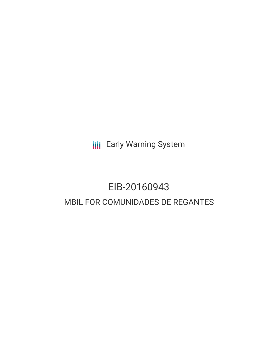**III** Early Warning System

# EIB-20160943 MBIL FOR COMUNIDADES DE REGANTES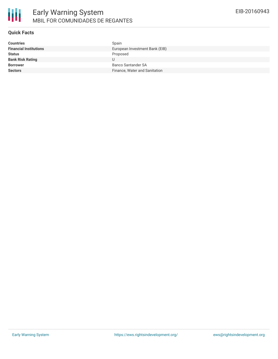

### **Quick Facts**

| <b>Countries</b>              | Spain                          |
|-------------------------------|--------------------------------|
| <b>Financial Institutions</b> | European Investment Bank (EIB) |
| <b>Status</b>                 | Proposed                       |
| <b>Bank Risk Rating</b>       | U                              |
| <b>Borrower</b>               | <b>Banco Santander SA</b>      |
| <b>Sectors</b>                | Finance, Water and Sanitation  |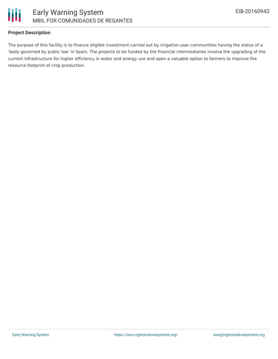

# **Project Description**

The purpose of this facility is to finance eligible investment carried out by irrigation user communities having the status of a 'body governed by public law' in Spain. The projects to be funded by the financial intermediaries involve the upgrading of the current infrastructure for higher efficiency in water and energy use and open a valuable option to farmers to improve the resource footprint of crop production.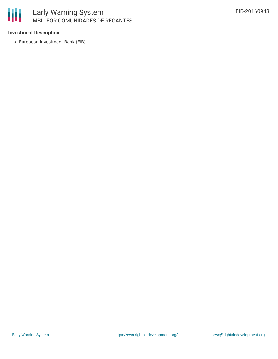

## **Investment Description**

European Investment Bank (EIB)